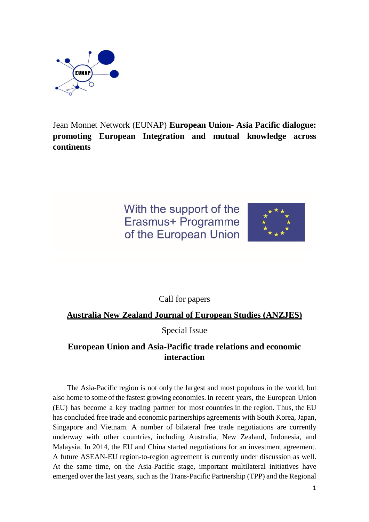

Jean Monnet Network (EUNAP) **European Union- Asia Pacific dialogue: promoting European Integration and mutual knowledge across continents**

> With the support of the Erasmus+ Programme of the European Union



Call for papers

## **Australia New Zealand Journal of European Studies (ANZJES)**

Special Issue

## **European Union and Asia-Pacific trade relations and economic interaction**

The Asia-Pacific region is not only the largest and most populous in the world, but also home to some of the fastest growing economies. In recent years, the European Union (EU) has become a key trading partner for most countries in the region. Thus, the EU has concluded free trade and economic partnerships agreements with South Korea, Japan, Singapore and Vietnam. A number of bilateral free trade negotiations are currently underway with other countries, including Australia, New Zealand, Indonesia, and Malaysia. In 2014, the EU and China started negotiations for an investment agreement. A future ASEAN-EU region-to-region agreement is currently under discussion as well. At the same time, on the Asia-Pacific stage, important multilateral initiatives have emerged over the last years, such as the Trans-Pacific Partnership (TPP) and the Regional